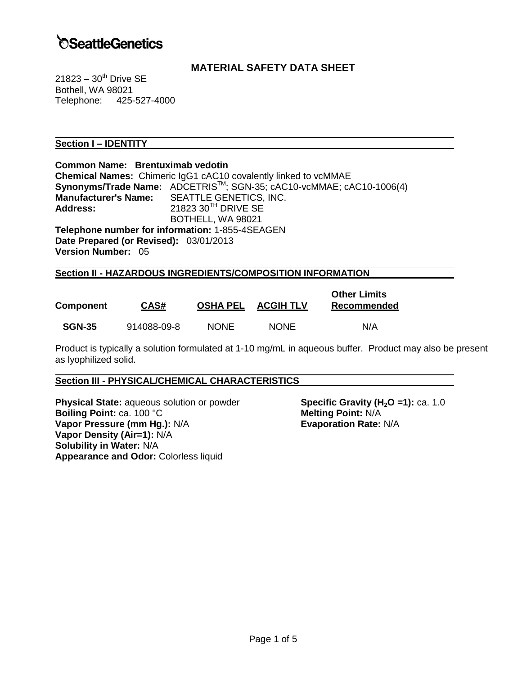# **SeattleGenetics**

## **MATERIAL SAFETY DATA SHEET**

 $21823 - 30$ <sup>th</sup> Drive SE Bothell, WA 98021 Telephone: 425-527-4000

## **Section I – IDENTITY**

| Common Name: Brentuximab vedotin       |                                                                        |  |  |
|----------------------------------------|------------------------------------------------------------------------|--|--|
|                                        | <b>Chemical Names:</b> Chimeric IgG1 cAC10 covalently linked to vcMMAE |  |  |
|                                        | Synonyms/Trade Name: ADCETRIS™; SGN-35; cAC10-vcMMAE; cAC10-1006(4)    |  |  |
|                                        | Manufacturer's Name: SEATTLE GENETICS, INC.                            |  |  |
| <b>Address:</b>                        | 21823 30TH DRIVE SE                                                    |  |  |
|                                        | BOTHELL, WA 98021                                                      |  |  |
|                                        | Telephone number for information: 1-855-4SEAGEN                        |  |  |
| Date Prepared (or Revised): 03/01/2013 |                                                                        |  |  |
| <b>Version Number: 05</b>              |                                                                        |  |  |
|                                        |                                                                        |  |  |

## **Section II - HAZARDOUS INGREDIENTS/COMPOSITION INFORMATION**

| <b>Component</b> | CAS#        | <b>OSHA PEL</b> | <b>ACGIH TLV</b> | <b>Other Limits</b><br>Recommended |
|------------------|-------------|-----------------|------------------|------------------------------------|
| <b>SGN-35</b>    | 914088-09-8 | <b>NONE</b>     | <b>NONE</b>      | N/A                                |

Product is typically a solution formulated at 1-10 mg/mL in aqueous buffer. Product may also be present as lyophilized solid.

#### **Section III - PHYSICAL/CHEMICAL CHARACTERISTICS**

**Physical State:** aqueous solution or powder **Specific Gravity (H<sub>2</sub>O =1):** ca. 1.0<br>**Boiling Point:** ca. 100 °C **Boiling Point: ca. 100 °C Vapor Pressure (mm Hg.):** N/A **Evaporation Rate:** N/A **Vapor Density (Air=1):** N/A **Solubility in Water:** N/A **Appearance and Odor:** Colorless liquid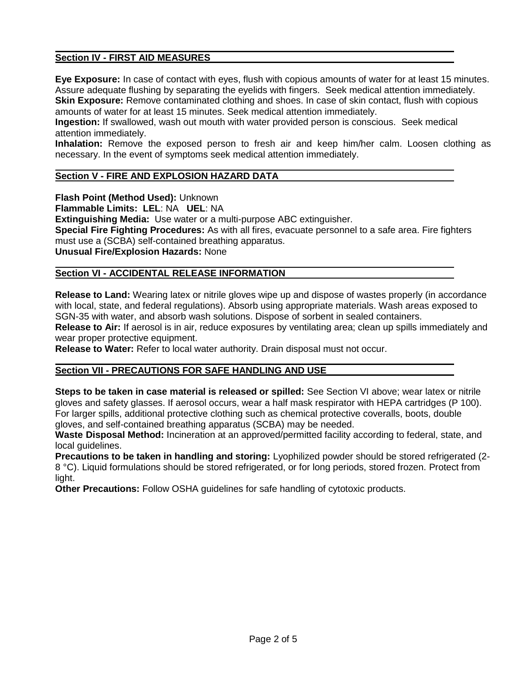## **Section IV - FIRST AID MEASURES**

**Eye Exposure:** In case of contact with eyes, flush with copious amounts of water for at least 15 minutes. Assure adequate flushing by separating the eyelids with fingers. Seek medical attention immediately. **Skin Exposure:** Remove contaminated clothing and shoes. In case of skin contact, flush with copious amounts of water for at least 15 minutes. Seek medical attention immediately.

**Ingestion:** If swallowed, wash out mouth with water provided person is conscious. Seek medical attention immediately.

**Inhalation:** Remove the exposed person to fresh air and keep him/her calm. Loosen clothing as necessary. In the event of symptoms seek medical attention immediately.

## **Section V - FIRE AND EXPLOSION HAZARD DATA**

**Flash Point (Method Used):** Unknown

**Flammable Limits: LEL**: NA **UEL**: NA

**Extinguishing Media:** Use water or a multi-purpose ABC extinguisher.

**Special Fire Fighting Procedures:** As with all fires, evacuate personnel to a safe area. Fire fighters must use a (SCBA) self-contained breathing apparatus.

**Unusual Fire/Explosion Hazards:** None

## **Section VI - ACCIDENTAL RELEASE INFORMATION**

**Release to Land:** Wearing latex or nitrile gloves wipe up and dispose of wastes properly (in accordance with local, state, and federal regulations). Absorb using appropriate materials. Wash areas exposed to SGN-35 with water, and absorb wash solutions. Dispose of sorbent in sealed containers.

**Release to Air:** If aerosol is in air, reduce exposures by ventilating area; clean up spills immediately and wear proper protective equipment.

**Release to Water:** Refer to local water authority. Drain disposal must not occur.

#### **Section VII - PRECAUTIONS FOR SAFE HANDLING AND USE**

**Steps to be taken in case material is released or spilled:** See Section VI above; wear latex or nitrile gloves and safety glasses. If aerosol occurs, wear a half mask respirator with HEPA cartridges (P 100). For larger spills, additional protective clothing such as chemical protective coveralls, boots, double gloves, and self-contained breathing apparatus (SCBA) may be needed.

**Waste Disposal Method:** Incineration at an approved/permitted facility according to federal, state, and local guidelines.

**Precautions to be taken in handling and storing:** Lyophilized powder should be stored refrigerated (2- 8 °C). Liquid formulations should be stored refrigerated, or for long periods, stored frozen. Protect from light.

**Other Precautions:** Follow OSHA guidelines for safe handling of cytotoxic products.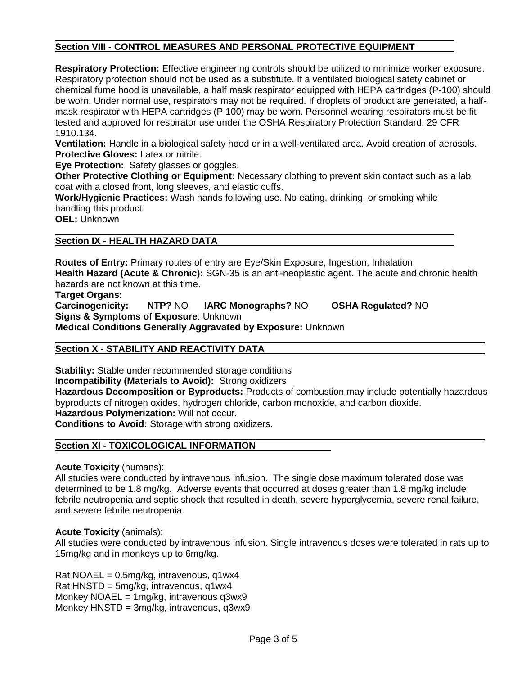## **Section VIII - CONTROL MEASURES AND PERSONAL PROTECTIVE EQUIPMENT**

**Respiratory Protection:** Effective engineering controls should be utilized to minimize worker exposure. Respiratory protection should not be used as a substitute. If a ventilated biological safety cabinet or chemical fume hood is unavailable, a half mask respirator equipped with HEPA cartridges (P-100) should be worn. Under normal use, respirators may not be required. If droplets of product are generated, a halfmask respirator with HEPA cartridges (P 100) may be worn. Personnel wearing respirators must be fit tested and approved for respirator use under the OSHA Respiratory Protection Standard, 29 CFR 1910.134.

**Ventilation:** Handle in a biological safety hood or in a well-ventilated area. Avoid creation of aerosols. **Protective Gloves:** Latex or nitrile.

**Eye Protection:** Safety glasses or goggles.

**Other Protective Clothing or Equipment:** Necessary clothing to prevent skin contact such as a lab coat with a closed front, long sleeves, and elastic cuffs.

**Work/Hygienic Practices:** Wash hands following use. No eating, drinking, or smoking while handling this product.

**OEL:** Unknown

## **Section IX - HEALTH HAZARD DATA**

**Routes of Entry:** Primary routes of entry are Eye/Skin Exposure, Ingestion, Inhalation **Health Hazard (Acute & Chronic):** SGN-35 is an anti-neoplastic agent. The acute and chronic health hazards are not known at this time.

**Target Organs: Carcinogenicity: NTP?** NO **IARC Monographs?** NO **OSHA Regulated?** NO **Signs & Symptoms of Exposure**: Unknown **Medical Conditions Generally Aggravated by Exposure:** Unknown

## **Section X - STABILITY AND REACTIVITY DATA**

**Stability:** Stable under recommended storage conditions

**Incompatibility (Materials to Avoid):** Strong oxidizers

**Hazardous Decomposition or Byproducts:** Products of combustion may include potentially hazardous byproducts of nitrogen oxides, hydrogen chloride, carbon monoxide, and carbon dioxide.

**Hazardous Polymerization:** Will not occur.

**Conditions to Avoid:** Storage with strong oxidizers.

## **Section XI - TOXICOLOGICAL INFORMATION**

**Acute Toxicity** (humans):

All studies were conducted by intravenous infusion. The single dose maximum tolerated dose was determined to be 1.8 mg/kg. Adverse events that occurred at doses greater than 1.8 mg/kg include febrile neutropenia and septic shock that resulted in death, severe hyperglycemia, severe renal failure, and severe febrile neutropenia.

## **Acute Toxicity** (animals):

All studies were conducted by intravenous infusion. Single intravenous doses were tolerated in rats up to 15mg/kg and in monkeys up to 6mg/kg.

Rat NOAEL =  $0.5$ mg/kg, intravenous, q1wx4 Rat HNSTD = 5mg/kg, intravenous, q1wx4 Monkey NOAEL =  $1mg/kg$ , intravenous q3wx9 Monkey HNSTD = 3mg/kg, intravenous, q3wx9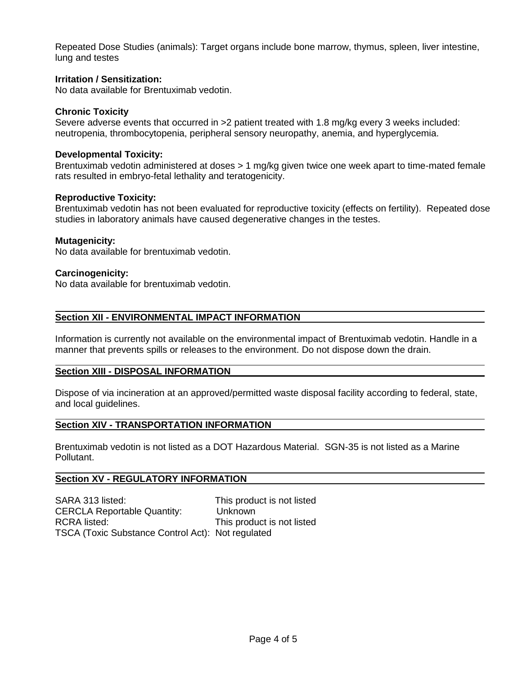Repeated Dose Studies (animals): Target organs include bone marrow, thymus, spleen, liver intestine, lung and testes

#### **Irritation / Sensitization:**

No data available for Brentuximab vedotin.

#### **Chronic Toxicity**

Severe adverse events that occurred in >2 patient treated with 1.8 mg/kg every 3 weeks included: neutropenia, thrombocytopenia, peripheral sensory neuropathy, anemia, and hyperglycemia.

#### **Developmental Toxicity:**

Brentuximab vedotin administered at doses > 1 mg/kg given twice one week apart to time-mated female rats resulted in embryo-fetal lethality and teratogenicity.

#### **Reproductive Toxicity:**

Brentuximab vedotin has not been evaluated for reproductive toxicity (effects on fertility). Repeated dose studies in laboratory animals have caused degenerative changes in the testes.

#### **Mutagenicity:**

No data available for brentuximab vedotin.

#### **Carcinogenicity:**

No data available for brentuximab vedotin.

#### **Section XII - ENVIRONMENTAL IMPACT INFORMATION**

Information is currently not available on the environmental impact of Brentuximab vedotin. Handle in a manner that prevents spills or releases to the environment. Do not dispose down the drain.

#### **Section XIII - DISPOSAL INFORMATION**

Dispose of via incineration at an approved/permitted waste disposal facility according to federal, state, and local guidelines.

## **Section XIV - TRANSPORTATION INFORMATION**

Brentuximab vedotin is not listed as a DOT Hazardous Material. SGN-35 is not listed as a Marine Pollutant.

## **Section XV - REGULATORY INFORMATION**

SARA 313 listed: This product is not listed CERCLA Reportable Quantity: Unknown RCRA listed: This product is not listed TSCA (Toxic Substance Control Act): Not regulated